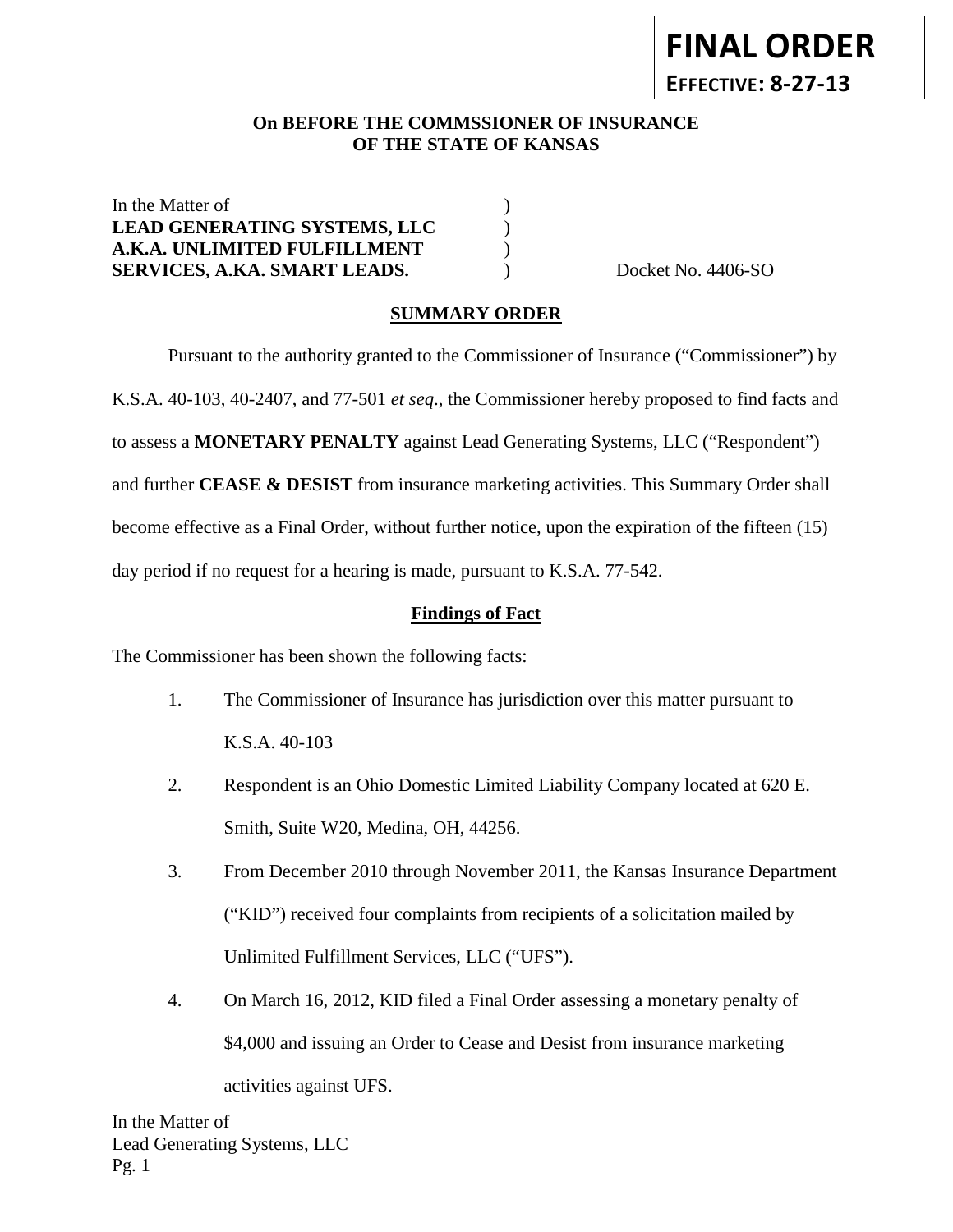# **FINAL ORDER EFFECTIVE: 8-27-13**

## **On BEFORE THE COMMSSIONER OF INSURANCE OF THE STATE OF KANSAS**

In the Matter of  $\qquad \qquad$  ) **LEAD GENERATING SYSTEMS, LLC** ) **A.K.A. UNLIMITED FULFILLMENT** ) **SERVICES, A.KA. SMART LEADS.** Docket No. 4406-SO

## **SUMMARY ORDER**

Pursuant to the authority granted to the Commissioner of Insurance ("Commissioner") by K.S.A. 40-103, 40-2407, and 77-501 *et seq*., the Commissioner hereby proposed to find facts and to assess a **MONETARY PENALTY** against Lead Generating Systems, LLC ("Respondent") and further **CEASE & DESIST** from insurance marketing activities. This Summary Order shall become effective as a Final Order, without further notice, upon the expiration of the fifteen (15) day period if no request for a hearing is made, pursuant to K.S.A. 77-542.

## **Findings of Fact**

The Commissioner has been shown the following facts:

- 1. The Commissioner of Insurance has jurisdiction over this matter pursuant to K.S.A. 40-103
- 2. Respondent is an Ohio Domestic Limited Liability Company located at 620 E. Smith, Suite W20, Medina, OH, 44256.
- 3. From December 2010 through November 2011, the Kansas Insurance Department ("KID") received four complaints from recipients of a solicitation mailed by Unlimited Fulfillment Services, LLC ("UFS").
- 4. On March 16, 2012, KID filed a Final Order assessing a monetary penalty of \$4,000 and issuing an Order to Cease and Desist from insurance marketing activities against UFS.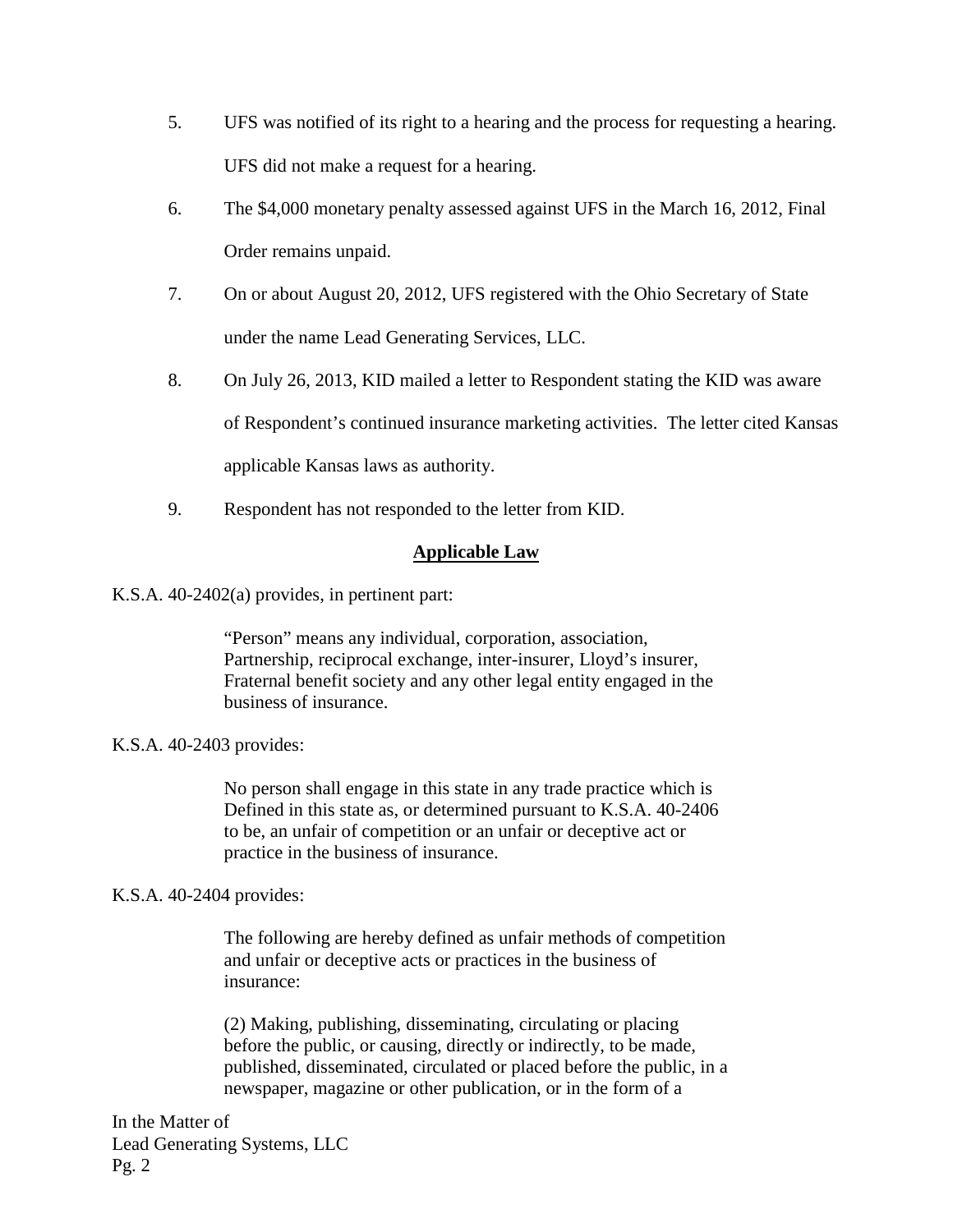- 5. UFS was notified of its right to a hearing and the process for requesting a hearing. UFS did not make a request for a hearing.
- 6. The \$4,000 monetary penalty assessed against UFS in the March 16, 2012, Final Order remains unpaid.
- 7. On or about August 20, 2012, UFS registered with the Ohio Secretary of State under the name Lead Generating Services, LLC.
- 8. On July 26, 2013, KID mailed a letter to Respondent stating the KID was aware of Respondent's continued insurance marketing activities. The letter cited Kansas applicable Kansas laws as authority.
- 9. Respondent has not responded to the letter from KID.

# **Applicable Law**

K.S.A. 40-2402(a) provides, in pertinent part:

"Person" means any individual, corporation, association, Partnership, reciprocal exchange, inter-insurer, Lloyd's insurer, Fraternal benefit society and any other legal entity engaged in the business of insurance.

# K.S.A. 40-2403 provides:

No person shall engage in this state in any trade practice which is Defined in this state as, or determined pursuant to K.S.A. 40-2406 to be, an unfair of competition or an unfair or deceptive act or practice in the business of insurance.

# K.S.A. 40-2404 provides:

The following are hereby defined as unfair methods of competition and unfair or deceptive acts or practices in the business of insurance:

(2) Making, publishing, disseminating, circulating or placing before the public, or causing, directly or indirectly, to be made, published, disseminated, circulated or placed before the public, in a newspaper, magazine or other publication, or in the form of a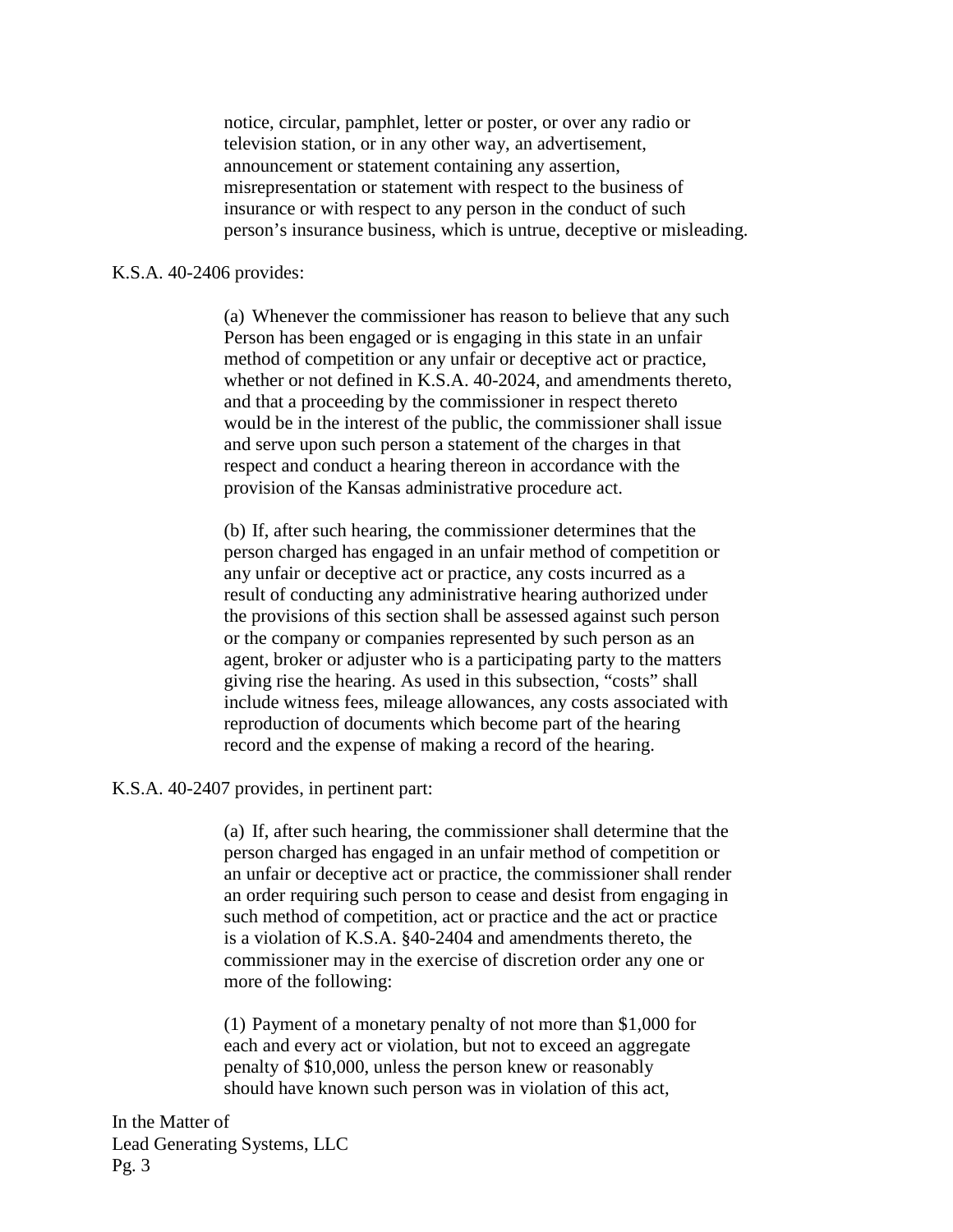notice, circular, pamphlet, letter or poster, or over any radio or television station, or in any other way, an advertisement, announcement or statement containing any assertion, misrepresentation or statement with respect to the business of insurance or with respect to any person in the conduct of such person's insurance business, which is untrue, deceptive or misleading.

#### K.S.A. 40-2406 provides:

(a) Whenever the commissioner has reason to believe that any such Person has been engaged or is engaging in this state in an unfair method of competition or any unfair or deceptive act or practice, whether or not defined in K.S.A. 40-2024, and amendments thereto, and that a proceeding by the commissioner in respect thereto would be in the interest of the public, the commissioner shall issue and serve upon such person a statement of the charges in that respect and conduct a hearing thereon in accordance with the provision of the Kansas administrative procedure act.

(b) If, after such hearing, the commissioner determines that the person charged has engaged in an unfair method of competition or any unfair or deceptive act or practice, any costs incurred as a result of conducting any administrative hearing authorized under the provisions of this section shall be assessed against such person or the company or companies represented by such person as an agent, broker or adjuster who is a participating party to the matters giving rise the hearing. As used in this subsection, "costs" shall include witness fees, mileage allowances, any costs associated with reproduction of documents which become part of the hearing record and the expense of making a record of the hearing.

K.S.A. 40-2407 provides, in pertinent part:

(a) If, after such hearing, the commissioner shall determine that the person charged has engaged in an unfair method of competition or an unfair or deceptive act or practice, the commissioner shall render an order requiring such person to cease and desist from engaging in such method of competition, act or practice and the act or practice is a violation of K.S.A. §40-2404 and amendments thereto, the commissioner may in the exercise of discretion order any one or more of the following:

(1) Payment of a monetary penalty of not more than \$1,000 for each and every act or violation, but not to exceed an aggregate penalty of \$10,000, unless the person knew or reasonably should have known such person was in violation of this act,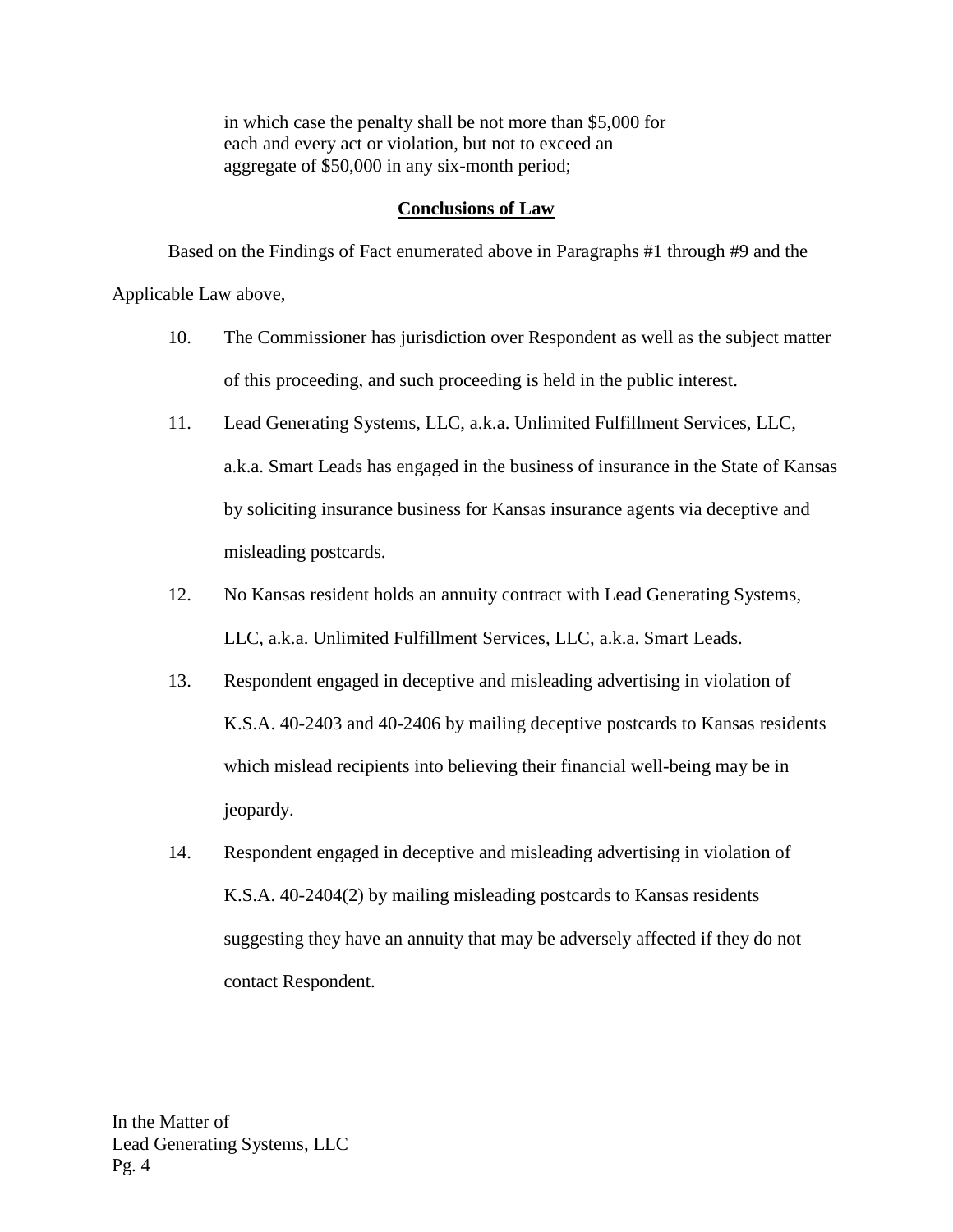in which case the penalty shall be not more than \$5,000 for each and every act or violation, but not to exceed an aggregate of \$50,000 in any six-month period;

## **Conclusions of Law**

Based on the Findings of Fact enumerated above in Paragraphs #1 through #9 and the Applicable Law above,

- 10. The Commissioner has jurisdiction over Respondent as well as the subject matter of this proceeding, and such proceeding is held in the public interest.
- 11. Lead Generating Systems, LLC, a.k.a. Unlimited Fulfillment Services, LLC, a.k.a. Smart Leads has engaged in the business of insurance in the State of Kansas by soliciting insurance business for Kansas insurance agents via deceptive and misleading postcards.
- 12. No Kansas resident holds an annuity contract with Lead Generating Systems, LLC, a.k.a. Unlimited Fulfillment Services, LLC, a.k.a. Smart Leads.
- 13. Respondent engaged in deceptive and misleading advertising in violation of K.S.A. 40-2403 and 40-2406 by mailing deceptive postcards to Kansas residents which mislead recipients into believing their financial well-being may be in jeopardy.
- 14. Respondent engaged in deceptive and misleading advertising in violation of K.S.A. 40-2404(2) by mailing misleading postcards to Kansas residents suggesting they have an annuity that may be adversely affected if they do not contact Respondent.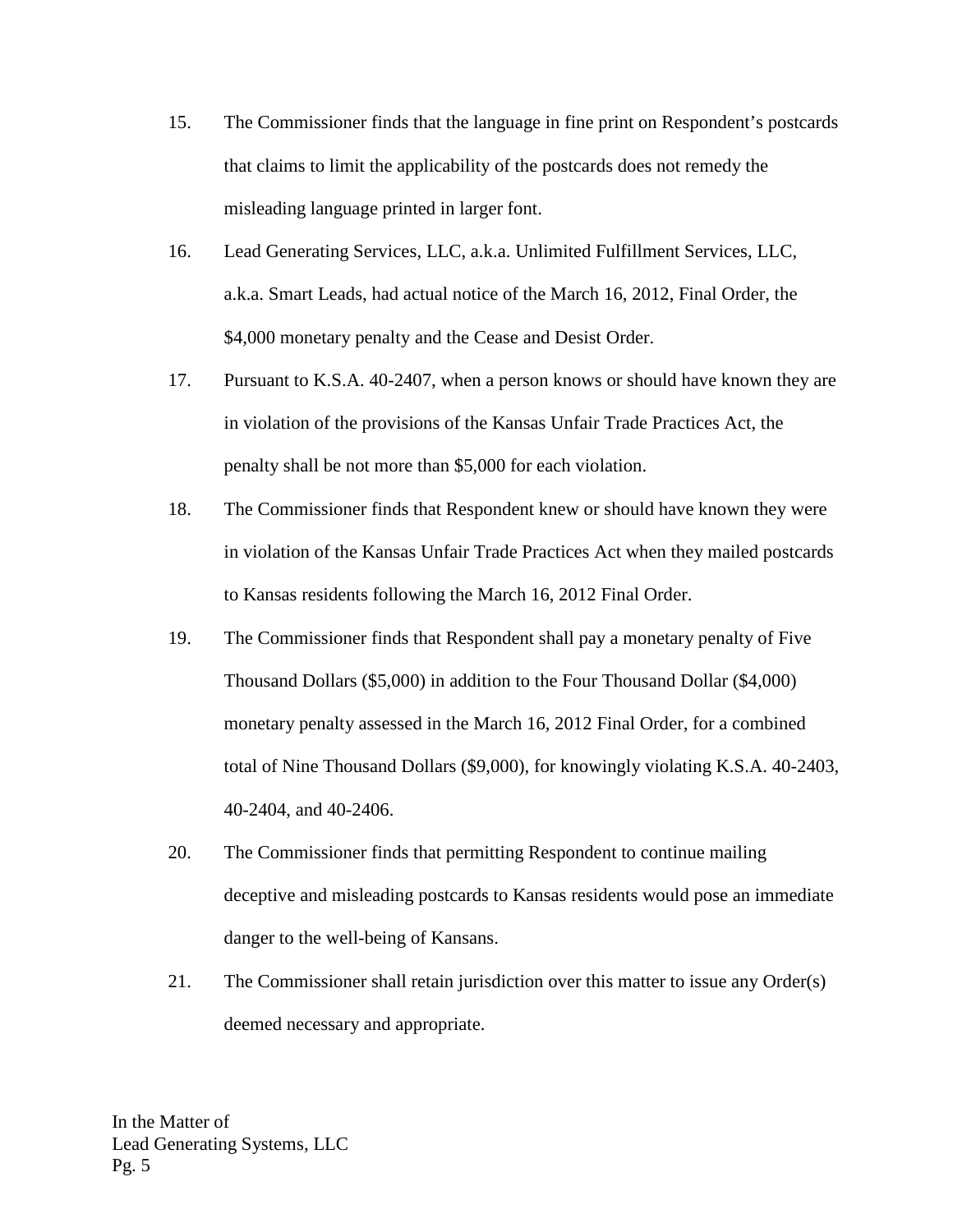- 15. The Commissioner finds that the language in fine print on Respondent's postcards that claims to limit the applicability of the postcards does not remedy the misleading language printed in larger font.
- 16. Lead Generating Services, LLC, a.k.a. Unlimited Fulfillment Services, LLC, a.k.a. Smart Leads, had actual notice of the March 16, 2012, Final Order, the \$4,000 monetary penalty and the Cease and Desist Order.
- 17. Pursuant to K.S.A. 40-2407, when a person knows or should have known they are in violation of the provisions of the Kansas Unfair Trade Practices Act, the penalty shall be not more than \$5,000 for each violation.
- 18. The Commissioner finds that Respondent knew or should have known they were in violation of the Kansas Unfair Trade Practices Act when they mailed postcards to Kansas residents following the March 16, 2012 Final Order.
- 19. The Commissioner finds that Respondent shall pay a monetary penalty of Five Thousand Dollars (\$5,000) in addition to the Four Thousand Dollar (\$4,000) monetary penalty assessed in the March 16, 2012 Final Order, for a combined total of Nine Thousand Dollars (\$9,000), for knowingly violating K.S.A. 40-2403, 40-2404, and 40-2406.
- 20. The Commissioner finds that permitting Respondent to continue mailing deceptive and misleading postcards to Kansas residents would pose an immediate danger to the well-being of Kansans.
- 21. The Commissioner shall retain jurisdiction over this matter to issue any Order(s) deemed necessary and appropriate.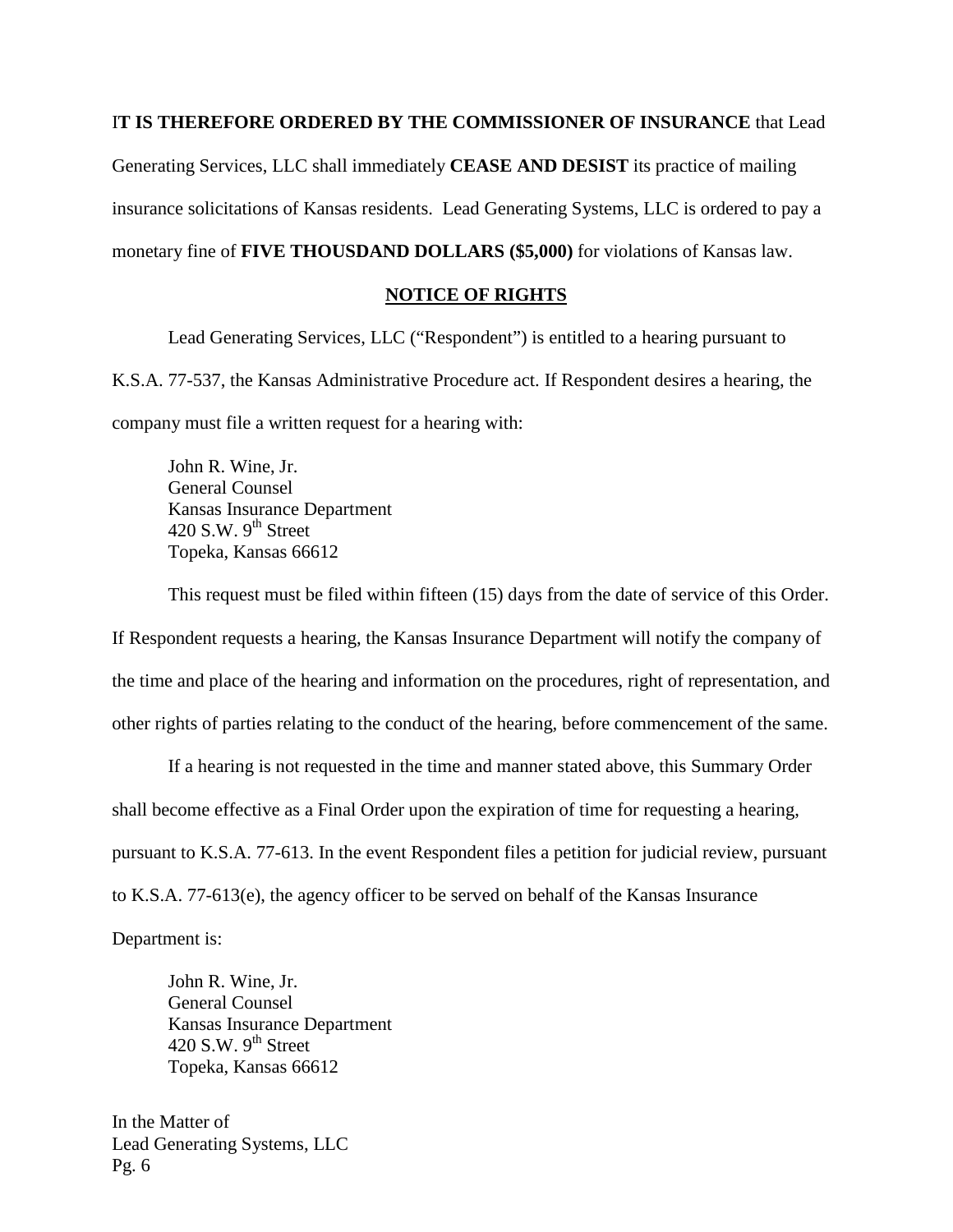#### I**T IS THEREFORE ORDERED BY THE COMMISSIONER OF INSURANCE** that Lead

Generating Services, LLC shall immediately **CEASE AND DESIST** its practice of mailing insurance solicitations of Kansas residents. Lead Generating Systems, LLC is ordered to pay a monetary fine of **FIVE THOUSDAND DOLLARS (\$5,000)** for violations of Kansas law.

## **NOTICE OF RIGHTS**

Lead Generating Services, LLC ("Respondent") is entitled to a hearing pursuant to K.S.A. 77-537, the Kansas Administrative Procedure act. If Respondent desires a hearing, the company must file a written request for a hearing with:

John R. Wine, Jr. General Counsel Kansas Insurance Department 420 S.W.  $9<sup>th</sup>$  Street Topeka, Kansas 66612

This request must be filed within fifteen (15) days from the date of service of this Order. If Respondent requests a hearing, the Kansas Insurance Department will notify the company of the time and place of the hearing and information on the procedures, right of representation, and other rights of parties relating to the conduct of the hearing, before commencement of the same.

If a hearing is not requested in the time and manner stated above, this Summary Order shall become effective as a Final Order upon the expiration of time for requesting a hearing, pursuant to K.S.A. 77-613. In the event Respondent files a petition for judicial review, pursuant to K.S.A. 77-613(e), the agency officer to be served on behalf of the Kansas Insurance

Department is:

John R. Wine, Jr. General Counsel Kansas Insurance Department 420 S.W.  $9<sup>th</sup>$  Street Topeka, Kansas 66612